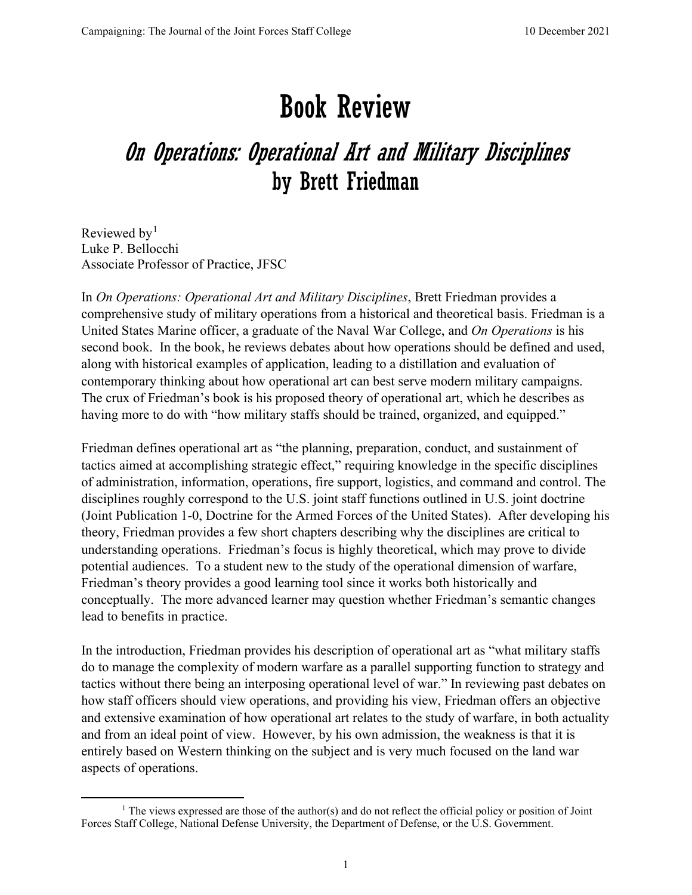## Book Review

## On Operations: Operational Art and Military Disciplines by Brett Friedman

Reviewed by<sup>[1](#page-0-0)</sup> Luke P. Bellocchi Associate Professor of Practice, JFSC

In *On Operations: Operational Art and Military Disciplines*, Brett Friedman provides a comprehensive study of military operations from a historical and theoretical basis. Friedman is a United States Marine officer, a graduate of the Naval War College, and *On Operations* is his second book. In the book, he reviews debates about how operations should be defined and used, along with historical examples of application, leading to a distillation and evaluation of contemporary thinking about how operational art can best serve modern military campaigns. The crux of Friedman's book is his proposed theory of operational art, which he describes as having more to do with "how military staffs should be trained, organized, and equipped."

Friedman defines operational art as "the planning, preparation, conduct, and sustainment of tactics aimed at accomplishing strategic effect," requiring knowledge in the specific disciplines of administration, information, operations, fire support, logistics, and command and control. The disciplines roughly correspond to the U.S. joint staff functions outlined in U.S. joint doctrine (Joint Publication 1-0, Doctrine for the Armed Forces of the United States). After developing his theory, Friedman provides a few short chapters describing why the disciplines are critical to understanding operations. Friedman's focus is highly theoretical, which may prove to divide potential audiences. To a student new to the study of the operational dimension of warfare, Friedman's theory provides a good learning tool since it works both historically and conceptually. The more advanced learner may question whether Friedman's semantic changes lead to benefits in practice.

In the introduction, Friedman provides his description of operational art as "what military staffs do to manage the complexity of modern warfare as a parallel supporting function to strategy and tactics without there being an interposing operational level of war." In reviewing past debates on how staff officers should view operations, and providing his view, Friedman offers an objective and extensive examination of how operational art relates to the study of warfare, in both actuality and from an ideal point of view. However, by his own admission, the weakness is that it is entirely based on Western thinking on the subject and is very much focused on the land war aspects of operations.

<span id="page-0-0"></span><sup>&</sup>lt;sup>1</sup> The views expressed are those of the author(s) and do not reflect the official policy or position of Joint Forces Staff College, National Defense University, the Department of Defense, or the U.S. Government.